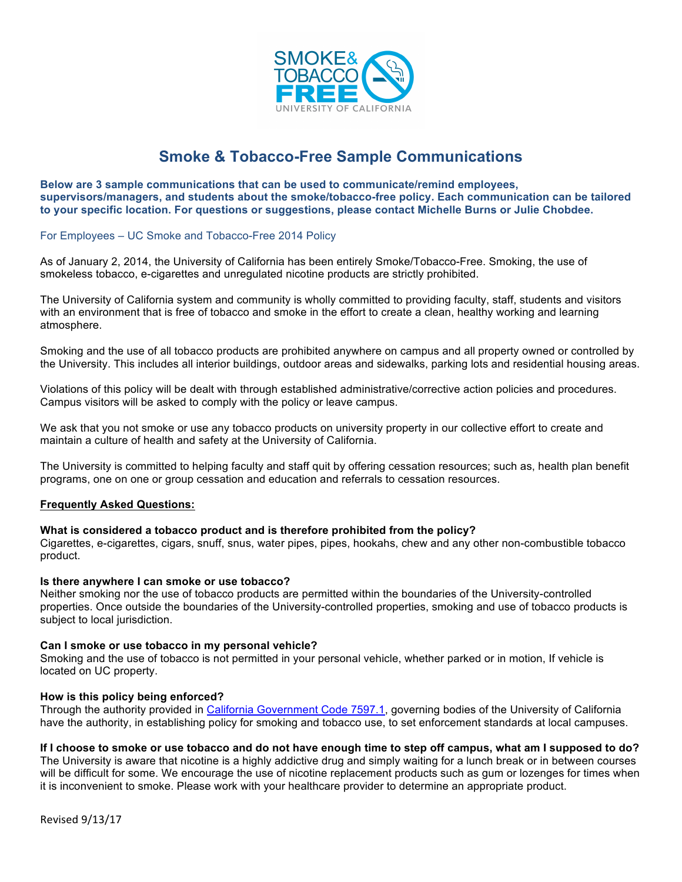

# **Smoke & Tobacco-Free Sample Communications**

**Below are 3 sample communications that can be used to communicate/remind employees, supervisors/managers, and students about the smoke/tobacco-free policy. Each communication can be tailored to your specific location. For questions or suggestions, please contact Michelle Burns or Julie Chobdee.**

For Employees – UC Smoke and Tobacco-Free 2014 Policy

As of January 2, 2014, the University of California has been entirely Smoke/Tobacco-Free. Smoking, the use of smokeless tobacco, e-cigarettes and unregulated nicotine products are strictly prohibited.

The University of California system and community is wholly committed to providing faculty, staff, students and visitors with an environment that is free of tobacco and smoke in the effort to create a clean, healthy working and learning atmosphere.

Smoking and the use of all tobacco products are prohibited anywhere on campus and all property owned or controlled by the University. This includes all interior buildings, outdoor areas and sidewalks, parking lots and residential housing areas.

Violations of this policy will be dealt with through established administrative/corrective action policies and procedures. Campus visitors will be asked to comply with the policy or leave campus.

We ask that you not smoke or use any tobacco products on university property in our collective effort to create and maintain a culture of health and safety at the University of California.

The University is committed to helping faculty and staff quit by offering cessation resources; such as, health plan benefit programs, one on one or group cessation and education and referrals to cessation resources.

#### **Frequently Asked Questions:**

#### **What is considered a tobacco product and is therefore prohibited from the policy?**

Cigarettes, e-cigarettes, cigars, snuff, snus, water pipes, pipes, hookahs, chew and any other non-combustible tobacco product.

#### **Is there anywhere I can smoke or use tobacco?**

Neither smoking nor the use of tobacco products are permitted within the boundaries of the University-controlled properties. Once outside the boundaries of the University-controlled properties, smoking and use of tobacco products is subject to local jurisdiction.

#### **Can I smoke or use tobacco in my personal vehicle?**

Smoking and the use of tobacco is not permitted in your personal vehicle, whether parked or in motion, If vehicle is located on UC property.

#### **How is this policy being enforced?**

Through the authority provided in California Government Code 7597.1, governing bodies of the University of California have the authority, in establishing policy for smoking and tobacco use, to set enforcement standards at local campuses.

# **If I choose to smoke or use tobacco and do not have enough time to step off campus, what am I supposed to do?**

The University is aware that nicotine is a highly addictive drug and simply waiting for a lunch break or in between courses will be difficult for some. We encourage the use of nicotine replacement products such as gum or lozenges for times when it is inconvenient to smoke. Please work with your healthcare provider to determine an appropriate product.

Revised'9/13/17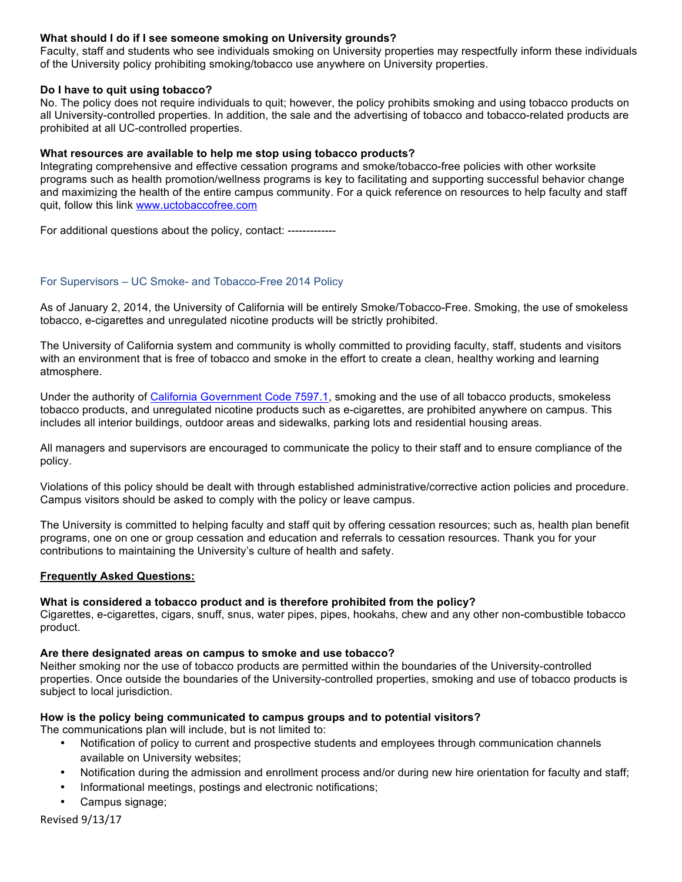# **What should I do if I see someone smoking on University grounds?**

Faculty, staff and students who see individuals smoking on University properties may respectfully inform these individuals of the University policy prohibiting smoking/tobacco use anywhere on University properties.

# **Do I have to quit using tobacco?**

No. The policy does not require individuals to quit; however, the policy prohibits smoking and using tobacco products on all University-controlled properties. In addition, the sale and the advertising of tobacco and tobacco-related products are prohibited at all UC-controlled properties.

# **What resources are available to help me stop using tobacco products?**

Integrating comprehensive and effective cessation programs and smoke/tobacco-free policies with other worksite programs such as health promotion/wellness programs is key to facilitating and supporting successful behavior change and maximizing the health of the entire campus community. For a quick reference on resources to help faculty and staff quit, follow this link www.uctobaccofree.com

For additional questions about the policy, contact: -------------

# For Supervisors – UC Smoke- and Tobacco-Free 2014 Policy

As of January 2, 2014, the University of California will be entirely Smoke/Tobacco-Free. Smoking, the use of smokeless tobacco, e-cigarettes and unregulated nicotine products will be strictly prohibited.

The University of California system and community is wholly committed to providing faculty, staff, students and visitors with an environment that is free of tobacco and smoke in the effort to create a clean, healthy working and learning atmosphere.

Under the authority of California Government Code 7597.1, smoking and the use of all tobacco products, smokeless tobacco products, and unregulated nicotine products such as e-cigarettes, are prohibited anywhere on campus. This includes all interior buildings, outdoor areas and sidewalks, parking lots and residential housing areas.

All managers and supervisors are encouraged to communicate the policy to their staff and to ensure compliance of the policy.

Violations of this policy should be dealt with through established administrative/corrective action policies and procedure. Campus visitors should be asked to comply with the policy or leave campus.

The University is committed to helping faculty and staff quit by offering cessation resources; such as, health plan benefit programs, one on one or group cessation and education and referrals to cessation resources. Thank you for your contributions to maintaining the University's culture of health and safety.

#### **Frequently Asked Questions:**

#### **What is considered a tobacco product and is therefore prohibited from the policy?**

Cigarettes, e-cigarettes, cigars, snuff, snus, water pipes, pipes, hookahs, chew and any other non-combustible tobacco product.

#### **Are there designated areas on campus to smoke and use tobacco?**

Neither smoking nor the use of tobacco products are permitted within the boundaries of the University-controlled properties. Once outside the boundaries of the University-controlled properties, smoking and use of tobacco products is subject to local jurisdiction.

#### **How is the policy being communicated to campus groups and to potential visitors?**

The communications plan will include, but is not limited to:

- Notification of policy to current and prospective students and employees through communication channels available on University websites;
- Notification during the admission and enrollment process and/or during new hire orientation for faculty and staff;
- Informational meetings, postings and electronic notifications;
- Campus signage;

Revised'9/13/17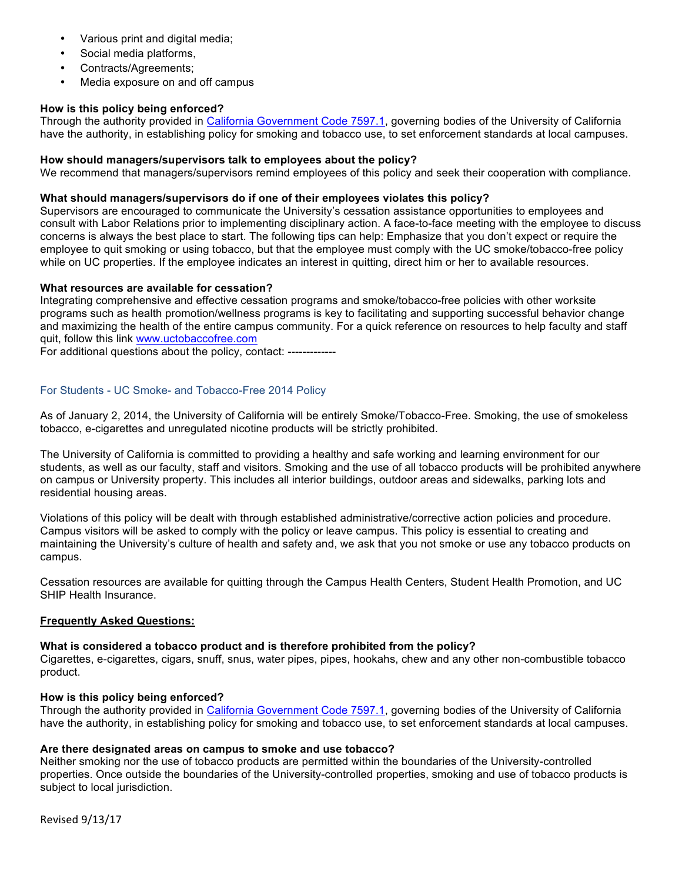- Various print and digital media;
- Social media platforms,
- Contracts/Agreements;
- Media exposure on and off campus

# **How is this policy being enforced?**

Through the authority provided in California Government Code 7597.1, governing bodies of the University of California have the authority, in establishing policy for smoking and tobacco use, to set enforcement standards at local campuses.

# **How should managers/supervisors talk to employees about the policy?**

We recommend that managers/supervisors remind employees of this policy and seek their cooperation with compliance.

# **What should managers/supervisors do if one of their employees violates this policy?**

Supervisors are encouraged to communicate the University's cessation assistance opportunities to employees and consult with Labor Relations prior to implementing disciplinary action. A face-to-face meeting with the employee to discuss concerns is always the best place to start. The following tips can help: Emphasize that you don't expect or require the employee to quit smoking or using tobacco, but that the employee must comply with the UC smoke/tobacco-free policy while on UC properties. If the employee indicates an interest in quitting, direct him or her to available resources.

#### **What resources are available for cessation?**

Integrating comprehensive and effective cessation programs and smoke/tobacco-free policies with other worksite programs such as health promotion/wellness programs is key to facilitating and supporting successful behavior change and maximizing the health of the entire campus community. For a quick reference on resources to help faculty and staff quit, follow this link www.uctobaccofree.com

For additional questions about the policy, contact: -------------

# For Students - UC Smoke- and Tobacco-Free 2014 Policy

As of January 2, 2014, the University of California will be entirely Smoke/Tobacco-Free. Smoking, the use of smokeless tobacco, e-cigarettes and unregulated nicotine products will be strictly prohibited.

The University of California is committed to providing a healthy and safe working and learning environment for our students, as well as our faculty, staff and visitors. Smoking and the use of all tobacco products will be prohibited anywhere on campus or University property. This includes all interior buildings, outdoor areas and sidewalks, parking lots and residential housing areas.

Violations of this policy will be dealt with through established administrative/corrective action policies and procedure. Campus visitors will be asked to comply with the policy or leave campus. This policy is essential to creating and maintaining the University's culture of health and safety and, we ask that you not smoke or use any tobacco products on campus.

Cessation resources are available for quitting through the Campus Health Centers, Student Health Promotion, and UC SHIP Health Insurance.

# **Frequently Asked Questions:**

#### **What is considered a tobacco product and is therefore prohibited from the policy?**

Cigarettes, e-cigarettes, cigars, snuff, snus, water pipes, pipes, hookahs, chew and any other non-combustible tobacco product.

#### **How is this policy being enforced?**

Through the authority provided in California Government Code 7597.1, governing bodies of the University of California have the authority, in establishing policy for smoking and tobacco use, to set enforcement standards at local campuses.

#### **Are there designated areas on campus to smoke and use tobacco?**

Neither smoking nor the use of tobacco products are permitted within the boundaries of the University-controlled properties. Once outside the boundaries of the University-controlled properties, smoking and use of tobacco products is subject to local jurisdiction.

Revised'9/13/17